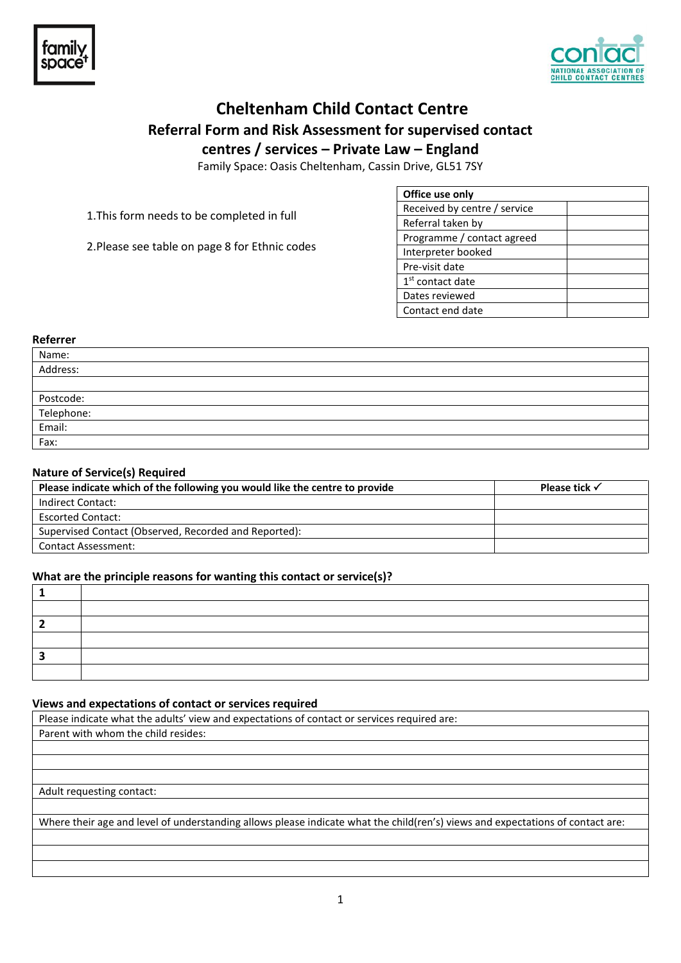

# **Cheltenham Child Contact Centre Referral Form and Risk Assessment for supervised contact centres / services – Private Law – England**

Family Space: Oasis Cheltenham, Cassin Drive, GL51 7SY

1.This form needs to be completed in full

2.Please see table on page 8 for Ethnic codes

| Office use only              |  |
|------------------------------|--|
| Received by centre / service |  |
| Referral taken by            |  |
| Programme / contact agreed   |  |
| Interpreter booked           |  |
| Pre-visit date               |  |
| 1 <sup>st</sup> contact date |  |
| Dates reviewed               |  |
| Contact end date             |  |

#### **Referrer**

| Name:<br>Address:            |  |
|------------------------------|--|
|                              |  |
|                              |  |
| Postcode:                    |  |
|                              |  |
| Telephone:<br>Email:<br>Fax: |  |
|                              |  |

### **Nature of Service(s) Required**

| Please indicate which of the following you would like the centre to provide | Please tick $\checkmark$ |
|-----------------------------------------------------------------------------|--------------------------|
| Indirect Contact:                                                           |                          |
| <b>Escorted Contact:</b>                                                    |                          |
| Supervised Contact (Observed, Recorded and Reported):                       |                          |
| <b>Contact Assessment:</b>                                                  |                          |

### **What are the principle reasons for wanting this contact or service(s)?**

### **Views and expectations of contact or services required**

Please indicate what the adults' view and expectations of contact or services required are: Parent with whom the child resides:

### Adult requesting contact:

Where their age and level of understanding allows please indicate what the child(ren's) views and expectations of contact are: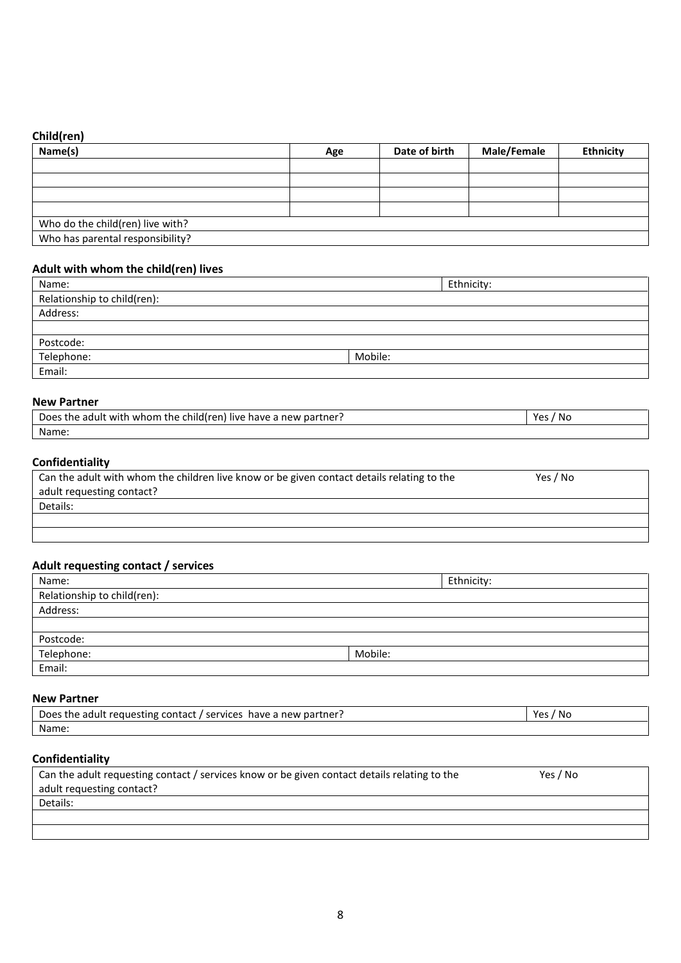# **Child(ren)**

| Name(s)                          | Age | Date of birth | Male/Female | <b>Ethnicity</b> |
|----------------------------------|-----|---------------|-------------|------------------|
|                                  |     |               |             |                  |
|                                  |     |               |             |                  |
|                                  |     |               |             |                  |
|                                  |     |               |             |                  |
| Who do the child(ren) live with? |     |               |             |                  |
| Who has parental responsibility? |     |               |             |                  |

## **Adult with whom the child(ren) lives**

| Name:                       | Ethnicity: |
|-----------------------------|------------|
| Relationship to child(ren): |            |
| Address:                    |            |
|                             |            |
| Postcode:                   |            |
| Telephone:                  | Mobile:    |
| Email:                      |            |

### **New Partner**

| Does the adult with whom the child(ren). | Yes  |
|------------------------------------------|------|
| ) live have a new partner :              | ' No |
| Name:                                    |      |

# **Confidentiality**

| Can the adult with whom the children live know or be given contact details relating to the | Yes / No |
|--------------------------------------------------------------------------------------------|----------|
| adult requesting contact?                                                                  |          |
| Details:                                                                                   |          |
|                                                                                            |          |
|                                                                                            |          |

# **Adult requesting contact / services**

| Name:                       | Ethnicity: |
|-----------------------------|------------|
| Relationship to child(ren): |            |
| Address:                    |            |
|                             |            |
| Postcode:                   |            |
| Telephone:                  | Mobile:    |
| Email:                      |            |

### **New Partner**

| Does the adult requesting contact | ' No |
|-----------------------------------|------|
| services                          | ۷ρς  |
| have a new partner?               | ີ    |
| Name:                             |      |

## **Confidentiality**

| Can the adult requesting contact / services know or be given contact details relating to the | Yes / No |
|----------------------------------------------------------------------------------------------|----------|
| adult requesting contact?                                                                    |          |
| Details:                                                                                     |          |
|                                                                                              |          |
|                                                                                              |          |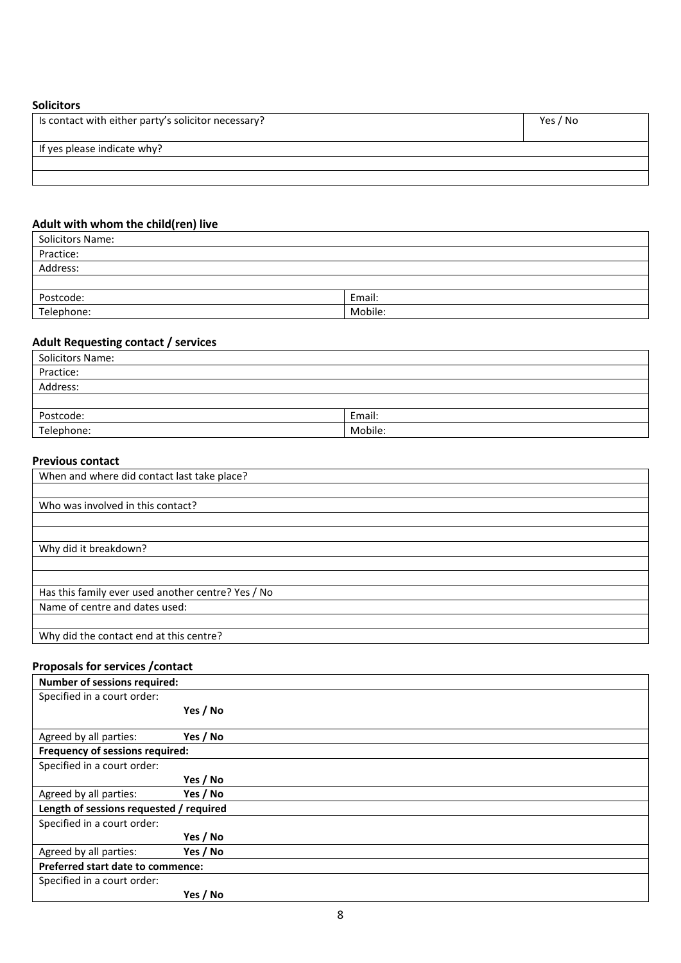## **Solicitors**

| Is contact with either party's solicitor necessary? | Yes / No |
|-----------------------------------------------------|----------|
| If yes please indicate why?                         |          |
|                                                     |          |
|                                                     |          |

# **Adult with whom the child(ren) live**

| <b>Solicitors Name:</b> |         |
|-------------------------|---------|
| Practice:               |         |
| Address:                |         |
|                         |         |
| Postcode:               | Email:  |
| Telephone:              | Mobile: |

# **Adult Requesting contact / services**

| <b>Solicitors Name:</b> |         |
|-------------------------|---------|
| Practice:               |         |
| Address:                |         |
|                         |         |
| Postcode:               | Email:  |
| Telephone:              | Mobile: |

## **Previous contact**

| When and where did contact last take place?        |
|----------------------------------------------------|
|                                                    |
| Who was involved in this contact?                  |
|                                                    |
|                                                    |
| Why did it breakdown?                              |
|                                                    |
|                                                    |
| Has this family ever used another centre? Yes / No |
| Name of centre and dates used:                     |
|                                                    |
| Why did the contact end at this centre?            |

# **Proposals for services /contact**

| <b>Number of sessions required:</b>     |          |
|-----------------------------------------|----------|
| Specified in a court order:             |          |
|                                         | Yes / No |
|                                         |          |
| Agreed by all parties:                  | Yes / No |
| Frequency of sessions required:         |          |
| Specified in a court order:             |          |
|                                         | Yes / No |
| Agreed by all parties:                  | Yes / No |
| Length of sessions requested / required |          |
| Specified in a court order:             |          |
|                                         | Yes / No |
| Agreed by all parties:                  | Yes / No |
| Preferred start date to commence:       |          |
| Specified in a court order:             |          |
|                                         | Yes / No |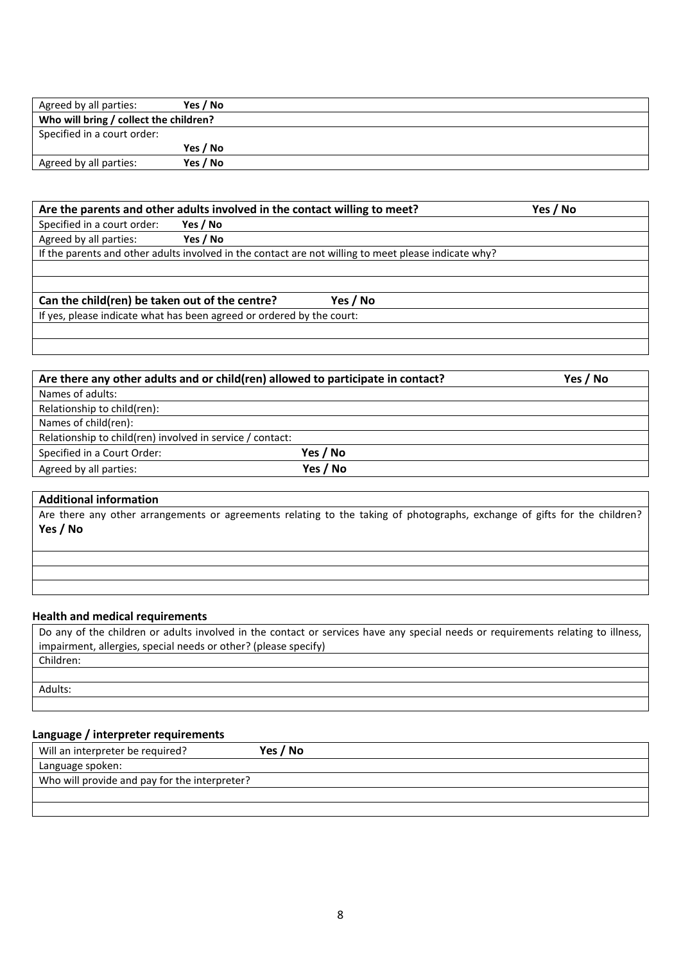| Agreed by all parties:                 | Yes / No |  |
|----------------------------------------|----------|--|
| Who will bring / collect the children? |          |  |
| Specified in a court order:            |          |  |
|                                        | Yes / No |  |
| Agreed by all parties:                 | Yes / No |  |

| Are the parents and other adults involved in the contact willing to meet?                            |          |          | Yes / No |
|------------------------------------------------------------------------------------------------------|----------|----------|----------|
| Specified in a court order:                                                                          | Yes / No |          |          |
| Agreed by all parties:                                                                               | Yes / No |          |          |
| If the parents and other adults involved in the contact are not willing to meet please indicate why? |          |          |          |
|                                                                                                      |          |          |          |
|                                                                                                      |          |          |          |
| Can the child(ren) be taken out of the centre?                                                       |          | Yes / No |          |
| If yes, please indicate what has been agreed or ordered by the court:                                |          |          |          |
|                                                                                                      |          |          |          |

| Are there any other adults and or child(ren) allowed to participate in contact? |          | Yes / No |
|---------------------------------------------------------------------------------|----------|----------|
| Names of adults:                                                                |          |          |
| Relationship to child(ren):                                                     |          |          |
| Names of child(ren):                                                            |          |          |
| Relationship to child(ren) involved in service / contact:                       |          |          |
| Specified in a Court Order:                                                     | Yes / No |          |
| Agreed by all parties:                                                          | Yes / No |          |

## **Additional information**

Are there any other arrangements or agreements relating to the taking of photographs, exchange of gifts for the children? **Yes / No**

### **Health and medical requirements**

| Do any of the children or adults involved in the contact or services have any special needs or requirements relating to illness, |
|----------------------------------------------------------------------------------------------------------------------------------|
| impairment, allergies, special needs or other? (please specify)                                                                  |
| Children:                                                                                                                        |
|                                                                                                                                  |
| Adults:                                                                                                                          |

# **Language / interpreter requirements**

| Will an interpreter be required?              | Yes / No |
|-----------------------------------------------|----------|
| Language spoken:                              |          |
| Who will provide and pay for the interpreter? |          |
|                                               |          |
|                                               |          |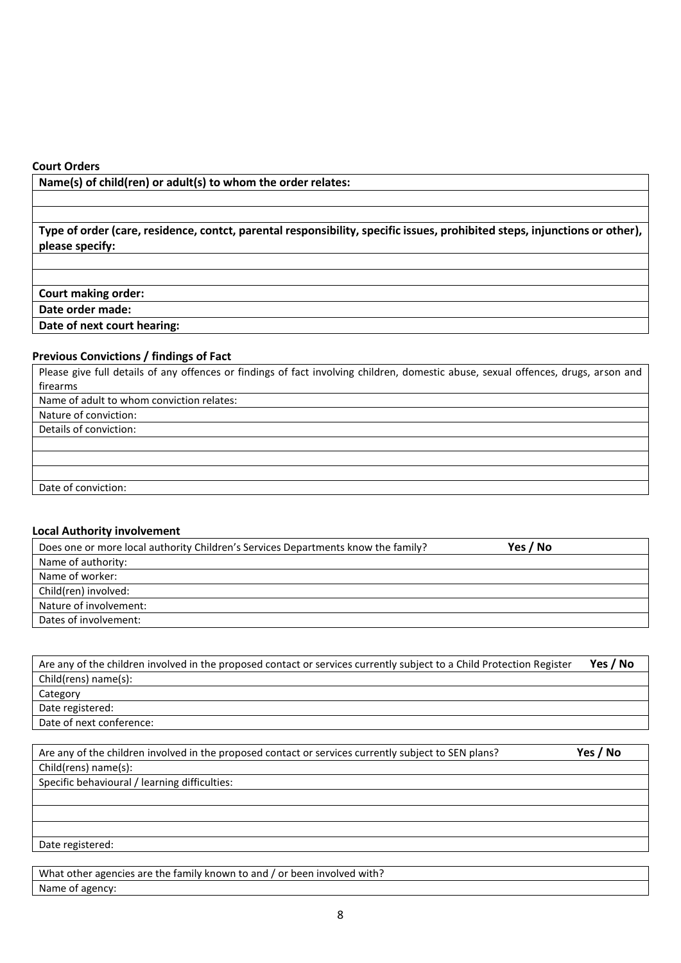### **Court Orders**

**Name(s) of child(ren) or adult(s) to whom the order relates:**

**Type of order (care, residence, contct, parental responsibility, specific issues, prohibited steps, injunctions or other), please specify:**

**Court making order:**

**Date order made:**

**Date of next court hearing:**

## **Previous Convictions / findings of Fact**

Please give full details of any offences or findings of fact involving children, domestic abuse, sexual offences, drugs, arson and firearms Name of adult to whom conviction relates:

Nature of conviction:

Details of conviction:

Date of conviction:

### **Local Authority involvement**

| Does one or more local authority Children's Services Departments know the family? | Yes / No |
|-----------------------------------------------------------------------------------|----------|
| Name of authority:                                                                |          |
| Name of worker:                                                                   |          |
| Child(ren) involved:                                                              |          |
| Nature of involvement:                                                            |          |
| Dates of involvement:                                                             |          |

| Are any of the children involved in the proposed contact or services currently subject to a Child Protection Register | Yes / No |
|-----------------------------------------------------------------------------------------------------------------------|----------|
| Child(rens) name(s):                                                                                                  |          |
| Category                                                                                                              |          |
| Date registered:                                                                                                      |          |
| Date of next conference:                                                                                              |          |

| Are any of the children involved in the proposed contact or services currently subject to SEN plans? | Yes / No |
|------------------------------------------------------------------------------------------------------|----------|
| Child(rens) name(s):                                                                                 |          |
| Specific behavioural / learning difficulties:                                                        |          |
|                                                                                                      |          |
|                                                                                                      |          |
|                                                                                                      |          |
| Date registered:                                                                                     |          |

What other agencies are the family known to and / or been involved with? Name of agency: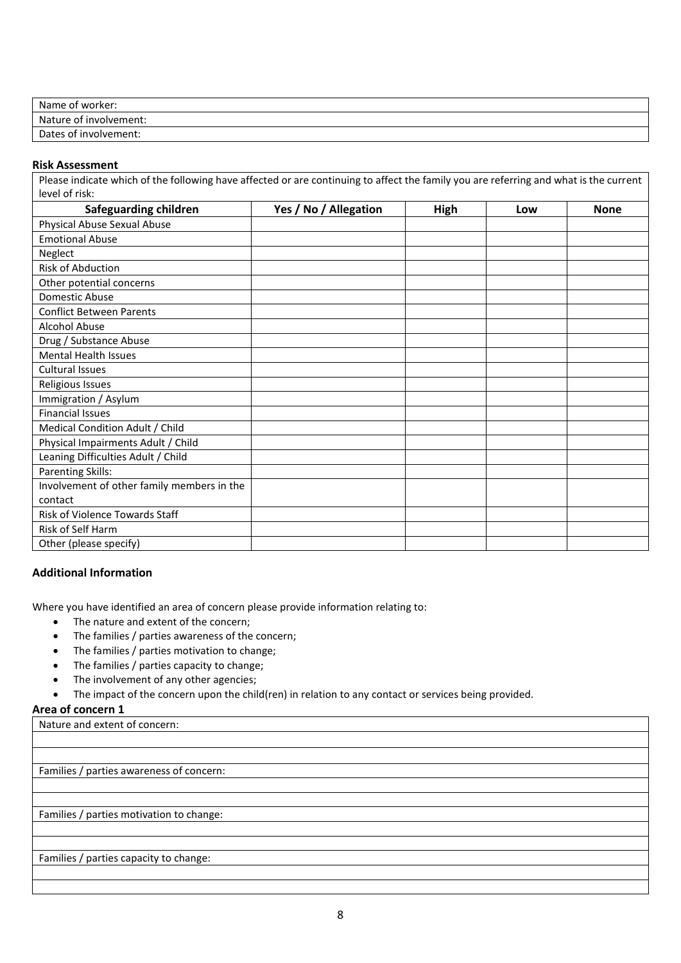| Name of worker:        |  |
|------------------------|--|
| Nature of involvement: |  |
| Dates of involvement:  |  |

### **Risk Assessment**

Please indicate which of the following have affected or are continuing to affect the family you are referring and what is the current level of risk:

| <b>Safeguarding children</b>               | Yes / No / Allegation | <b>High</b> | Low | <b>None</b> |
|--------------------------------------------|-----------------------|-------------|-----|-------------|
| Physical Abuse Sexual Abuse                |                       |             |     |             |
| <b>Emotional Abuse</b>                     |                       |             |     |             |
| Neglect                                    |                       |             |     |             |
| <b>Risk of Abduction</b>                   |                       |             |     |             |
| Other potential concerns                   |                       |             |     |             |
| <b>Domestic Abuse</b>                      |                       |             |     |             |
| <b>Conflict Between Parents</b>            |                       |             |     |             |
| <b>Alcohol Abuse</b>                       |                       |             |     |             |
| Drug / Substance Abuse                     |                       |             |     |             |
| <b>Mental Health Issues</b>                |                       |             |     |             |
| <b>Cultural Issues</b>                     |                       |             |     |             |
| Religious Issues                           |                       |             |     |             |
| Immigration / Asylum                       |                       |             |     |             |
| <b>Financial Issues</b>                    |                       |             |     |             |
| Medical Condition Adult / Child            |                       |             |     |             |
| Physical Impairments Adult / Child         |                       |             |     |             |
| Leaning Difficulties Adult / Child         |                       |             |     |             |
| <b>Parenting Skills:</b>                   |                       |             |     |             |
| Involvement of other family members in the |                       |             |     |             |
| contact                                    |                       |             |     |             |
| Risk of Violence Towards Staff             |                       |             |     |             |
| Risk of Self Harm                          |                       |             |     |             |
| Other (please specify)                     |                       |             |     |             |

## **Additional Information**

Where you have identified an area of concern please provide information relating to:

- The nature and extent of the concern;
- The families / parties awareness of the concern;
- The families / parties motivation to change;
- The families / parties capacity to change;
- The involvement of any other agencies;
- The impact of the concern upon the child(ren) in relation to any contact or services being provided.

### **Area of concern 1**

Nature and extent of concern:

Families / parties awareness of concern:

Families / parties motivation to change:

### Families / parties capacity to change: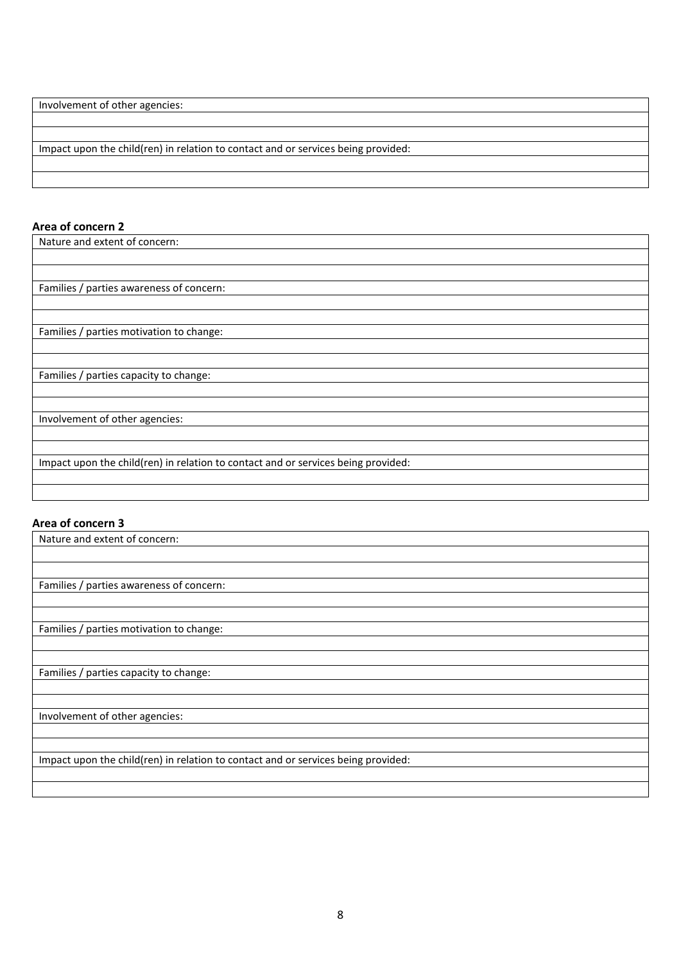Involvement of other agencies:

Impact upon the child(ren) in relation to contact and or services being provided:

## **Area of concern 2**

| Nature and extent of concern:                                                     |
|-----------------------------------------------------------------------------------|
|                                                                                   |
|                                                                                   |
| Families / parties awareness of concern:                                          |
|                                                                                   |
|                                                                                   |
| Families / parties motivation to change:                                          |
|                                                                                   |
|                                                                                   |
| Families / parties capacity to change:                                            |
|                                                                                   |
|                                                                                   |
| Involvement of other agencies:                                                    |
|                                                                                   |
|                                                                                   |
| Impact upon the child(ren) in relation to contact and or services being provided: |
|                                                                                   |
|                                                                                   |

## **Area of concern 3**

| Nature and extent of concern:                                                     |
|-----------------------------------------------------------------------------------|
|                                                                                   |
|                                                                                   |
| Families / parties awareness of concern:                                          |
|                                                                                   |
|                                                                                   |
| Families / parties motivation to change:                                          |
|                                                                                   |
|                                                                                   |
| Families / parties capacity to change:                                            |
|                                                                                   |
|                                                                                   |
| Involvement of other agencies:                                                    |
|                                                                                   |
|                                                                                   |
| Impact upon the child(ren) in relation to contact and or services being provided: |
|                                                                                   |
|                                                                                   |